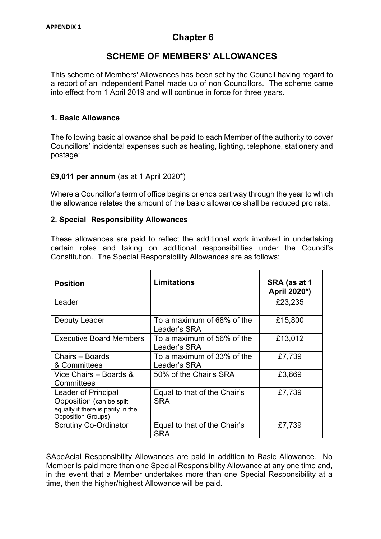# **Chapter 6**

# **SCHEME OF MEMBERS' ALLOWANCES**

This scheme of Members' Allowances has been set by the Council having regard to a report of an Independent Panel made up of non Councillors. The scheme came into effect from 1 April 2019 and will continue in force for three years.

## **1. Basic Allowance**

The following basic allowance shall be paid to each Member of the authority to cover Councillors' incidental expenses such as heating, lighting, telephone, stationery and postage:

#### **£9,011 per annum** (as at 1 April 2020\*)

Where a Councillor's term of office begins or ends part way through the year to which the allowance relates the amount of the basic allowance shall be reduced pro rata.

#### **2. Special Responsibility Allowances**

These allowances are paid to reflect the additional work involved in undertaking certain roles and taking on additional responsibilities under the Council's Constitution. The Special Responsibility Allowances are as follows:

| <b>Position</b>                                                                                                    | Limitations                                | SRA (as at 1<br>April 2020*) |
|--------------------------------------------------------------------------------------------------------------------|--------------------------------------------|------------------------------|
| Leader                                                                                                             |                                            | £23,235                      |
| Deputy Leader                                                                                                      | To a maximum of 68% of the<br>Leader's SRA | £15,800                      |
| <b>Executive Board Members</b>                                                                                     | To a maximum of 56% of the<br>Leader's SRA | £13,012                      |
| Chairs - Boards<br>& Committees                                                                                    | To a maximum of 33% of the<br>Leader's SRA | £7,739                       |
| Vice Chairs - Boards &<br>Committees                                                                               | 50% of the Chair's SRA                     | £3,869                       |
| Leader of Principal<br>Opposition (can be split)<br>equally if there is parity in the<br><b>Opposition Groups)</b> | Equal to that of the Chair's<br><b>SRA</b> | £7,739                       |
| <b>Scrutiny Co-Ordinator</b>                                                                                       | Equal to that of the Chair's<br><b>SRA</b> | £7,739                       |

SApeAcial Responsibility Allowances are paid in addition to Basic Allowance. No Member is paid more than one Special Responsibility Allowance at any one time and, in the event that a Member undertakes more than one Special Responsibility at a time, then the higher/highest Allowance will be paid.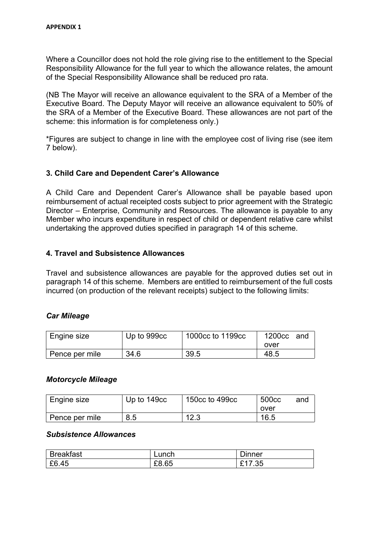Where a Councillor does not hold the role giving rise to the entitlement to the Special Responsibility Allowance for the full year to which the allowance relates, the amount of the Special Responsibility Allowance shall be reduced pro rata.

(NB The Mayor will receive an allowance equivalent to the SRA of a Member of the Executive Board. The Deputy Mayor will receive an allowance equivalent to 50% of the SRA of a Member of the Executive Board. These allowances are not part of the scheme: this information is for completeness only.)

\*Figures are subject to change in line with the employee cost of living rise (see item 7 below).

### **3. Child Care and Dependent Carer's Allowance**

A Child Care and Dependent Carer's Allowance shall be payable based upon reimbursement of actual receipted costs subject to prior agreement with the Strategic Director – Enterprise, Community and Resources. The allowance is payable to any Member who incurs expenditure in respect of child or dependent relative care whilst undertaking the approved duties specified in paragraph 14 of this scheme.

#### **4. Travel and Subsistence Allowances**

Travel and subsistence allowances are payable for the approved duties set out in paragraph 14 of this scheme. Members are entitled to reimbursement of the full costs incurred (on production of the relevant receipts) subject to the following limits:

#### *Car Mileage*

| Engine size    | Up to 999cc | 1000cc to 1199cc | 1200cc<br>and |
|----------------|-------------|------------------|---------------|
|                |             |                  | over          |
| Pence per mile | 34.6        | 39.5             | 48.5          |

#### *Motorcycle Mileage*

| <b>Engine size</b> | Up to 149 <sub>cc</sub> | 150cc to 499cc | 500 <sub>cc</sub> | and |
|--------------------|-------------------------|----------------|-------------------|-----|
|                    |                         |                | over              |     |
| Pence per mile     | 8.5                     | 12.3           | 16.5              |     |

#### *Subsistence Allowances*

| <b>Breakfast</b> | Lunch | <b>Dinner</b> |
|------------------|-------|---------------|
| £6.45            | £8.65 | £17.35<br>∼   |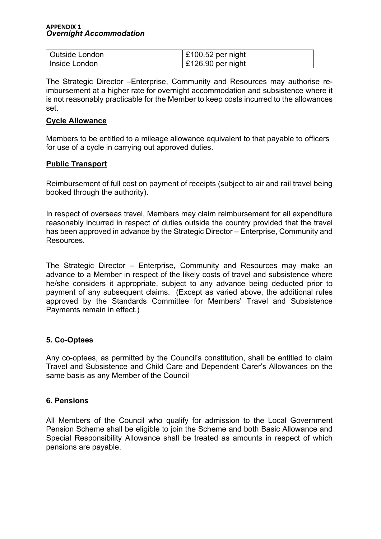#### **APPENDIX 1** *Overnight Accommodation*

| Outside London | $\vert$ £100.52 per night |
|----------------|---------------------------|
| Inside London  | $\vert$ £126.90 per night |

The Strategic Director –Enterprise, Community and Resources may authorise reimbursement at a higher rate for overnight accommodation and subsistence where it is not reasonably practicable for the Member to keep costs incurred to the allowances set.

#### **Cycle Allowance**

Members to be entitled to a mileage allowance equivalent to that payable to officers for use of a cycle in carrying out approved duties.

#### **Public Transport**

Reimbursement of full cost on payment of receipts (subject to air and rail travel being booked through the authority).

In respect of overseas travel, Members may claim reimbursement for all expenditure reasonably incurred in respect of duties outside the country provided that the travel has been approved in advance by the Strategic Director – Enterprise, Community and Resources.

The Strategic Director – Enterprise, Community and Resources may make an advance to a Member in respect of the likely costs of travel and subsistence where he/she considers it appropriate, subject to any advance being deducted prior to payment of any subsequent claims. (Except as varied above, the additional rules approved by the Standards Committee for Members' Travel and Subsistence Payments remain in effect.)

#### **5. Co-Optees**

Any co-optees, as permitted by the Council's constitution, shall be entitled to claim Travel and Subsistence and Child Care and Dependent Carer's Allowances on the same basis as any Member of the Council

#### **6. Pensions**

All Members of the Council who qualify for admission to the Local Government Pension Scheme shall be eligible to join the Scheme and both Basic Allowance and Special Responsibility Allowance shall be treated as amounts in respect of which pensions are payable.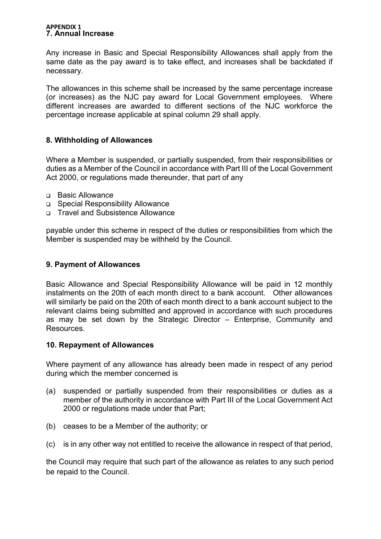#### **APPENDIX 1 7. Annual Increase**

Any increase in Basic and Special Responsibility Allowances shall apply from the same date as the pay award is to take effect, and increases shall be backdated if necessary.

The allowances in this scheme shall be increased by the same percentage increase (or increases) as the NJC pay award for Local Government employees. Where different increases are awarded to different sections of the NJC workforce the percentage increase applicable at spinal column 29 shall apply.

### **8. Withholding of Allowances**

Where a Member is suspended, or partially suspended, from their responsibilities or duties as a Member of the Council in accordance with Part III of the Local Government Act 2000, or regulations made thereunder, that part of any

- □ Basic Allowance
- □ Special Responsibility Allowance
- □ Travel and Subsistence Allowance

payable under this scheme in respect of the duties or responsibilities from which the Member is suspended may be withheld by the Council.

#### **9. Payment of Allowances**

Basic Allowance and Special Responsibility Allowance will be paid in 12 monthly instalments on the 20th of each month direct to a bank account. Other allowances will similarly be paid on the 20th of each month direct to a bank account subject to the relevant claims being submitted and approved in accordance with such procedures as may be set down by the Strategic Director – Enterprise, Community and Resources.

#### **10. Repayment of Allowances**

Where payment of any allowance has already been made in respect of any period during which the member concerned is

- (a) suspended or partially suspended from their responsibilities or duties as a member of the authority in accordance with Part III of the Local Government Act 2000 or regulations made under that Part;
- (b) ceases to be a Member of the authority; or
- (c) is in any other way not entitled to receive the allowance in respect of that period,

the Council may require that such part of the allowance as relates to any such period be repaid to the Council.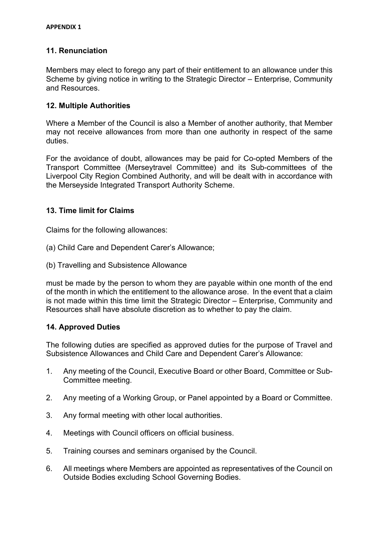## **11. Renunciation**

Members may elect to forego any part of their entitlement to an allowance under this Scheme by giving notice in writing to the Strategic Director – Enterprise, Community and Resources.

#### **12. Multiple Authorities**

Where a Member of the Council is also a Member of another authority, that Member may not receive allowances from more than one authority in respect of the same duties.

For the avoidance of doubt, allowances may be paid for Co-opted Members of the Transport Committee (Merseytravel Committee) and its Sub-committees of the Liverpool City Region Combined Authority, and will be dealt with in accordance with the Merseyside Integrated Transport Authority Scheme.

### **13. Time limit for Claims**

Claims for the following allowances:

- (a) Child Care and Dependent Carer's Allowance;
- (b) Travelling and Subsistence Allowance

must be made by the person to whom they are payable within one month of the end of the month in which the entitlement to the allowance arose. In the event that a claim is not made within this time limit the Strategic Director – Enterprise, Community and Resources shall have absolute discretion as to whether to pay the claim.

#### **14. Approved Duties**

The following duties are specified as approved duties for the purpose of Travel and Subsistence Allowances and Child Care and Dependent Carer's Allowance:

- 1. Any meeting of the Council, Executive Board or other Board, Committee or Sub-Committee meeting.
- 2. Any meeting of a Working Group, or Panel appointed by a Board or Committee.
- 3. Any formal meeting with other local authorities.
- 4. Meetings with Council officers on official business.
- 5. Training courses and seminars organised by the Council.
- 6. All meetings where Members are appointed as representatives of the Council on Outside Bodies excluding School Governing Bodies.